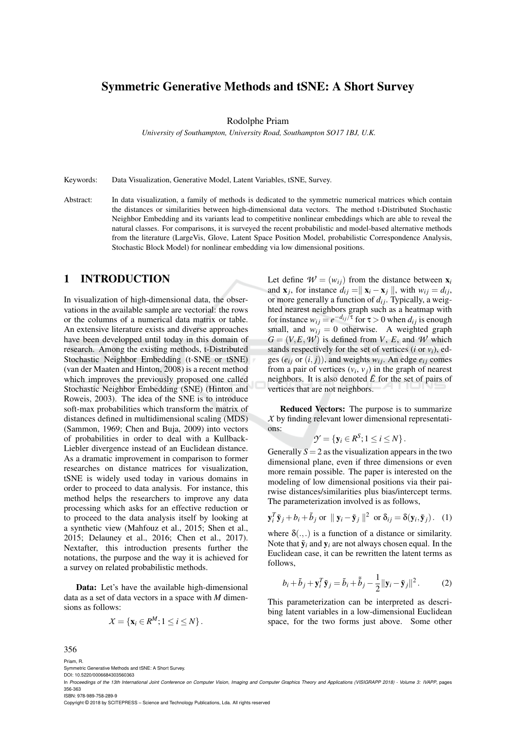# Symmetric Generative Methods and tSNE: A Short Survey

Rodolphe Priam

*University of Southampton, University Road, Southampton SO17 1BJ, U.K.*

Keywords: Data Visualization, Generative Model, Latent Variables, tSNE, Survey.

Abstract: In data visualization, a family of methods is dedicated to the symmetric numerical matrices which contain the distances or similarities between high-dimensional data vectors. The method t-Distributed Stochastic Neighbor Embedding and its variants lead to competitive nonlinear embeddings which are able to reveal the natural classes. For comparisons, it is surveyed the recent probabilistic and model-based alternative methods from the literature (LargeVis, Glove, Latent Space Position Model, probabilistic Correspondence Analysis, Stochastic Block Model) for nonlinear embedding via low dimensional positions.

# 1 INTRODUCTION

In visualization of high-dimensional data, the observations in the available sample are vectorial: the rows or the columns of a numerical data matrix or table. An extensive literature exists and diverse approaches have been developped until today in this domain of research. Among the existing methods, t-Distributed Stochastic Neighbor Embedding (t-SNE or tSNE) (van der Maaten and Hinton, 2008) is a recent method which improves the previously proposed one called Stochastic Neighbor Embedding (SNE) (Hinton and Roweis, 2003). The idea of the SNE is to introduce soft-max probabilities which transform the matrix of distances defined in multidimensional scaling (MDS) (Sammon, 1969; Chen and Buja, 2009) into vectors of probabilities in order to deal with a Kullback-Liebler divergence instead of an Euclidean distance. As a dramatic improvement in comparison to former researches on distance matrices for visualization, tSNE is widely used today in various domains in order to proceed to data analysis. For instance, this method helps the researchers to improve any data processing which asks for an effective reduction or to proceed to the data analysis itself by looking at a synthetic view (Mahfouz et al., 2015; Shen et al., 2015; Delauney et al., 2016; Chen et al., 2017). Nextafter, this introduction presents further the notations, the purpose and the way it is achieved for a survey on related probabilistic methods.

Data: Let's have the available high-dimensional data as a set of data vectors in a space with *M* dimensions as follows:

$$
X = \{ \mathbf{x}_i \in R^M; 1 \leq i \leq N \}.
$$

Let define  $W = (w_{ij})$  from the distance between  $\mathbf{x}_i$ and  $\mathbf{x}_j$ , for instance  $d_{ij} = \parallel \mathbf{x}_i - \mathbf{x}_j \parallel$ , with  $w_{ij} = d_{ij}$ , or more generally a function of  $d_{ij}$ . Typically, a weighted nearest neighbors graph such as a heatmap with for instance  $w_{ij} = e^{-d_{ij}/\tau}$  for  $\tau > 0$  when  $d_{ij}$  is enough small, and  $w_{ij} = 0$  otherwise. A weighted graph  $G = (V, E, W)$  is defined from *V*, *E*, and *W* which stands respectively for the set of vertices (*i* or  $v_i$ ), edges  $(e_i$  *j* or  $(i, j)$ , and weights  $w_{ij}$ . An edge  $e_{ij}$  comes from a pair of vertices  $(v_i, v_j)$  in the graph of nearest neighbors. It is also denoted  $\overline{E}$  for the set of pairs of vertices that are not neighbors.

Reduced Vectors: The purpose is to summarize *X* by finding relevant lower dimensional representations:

$$
\mathcal{Y} = \{ \mathbf{y}_i \in R^S; 1 \leq i \leq N \}.
$$

Generally  $S = 2$  as the visualization appears in the two dimensional plane, even if three dimensions or even more remain possible. The paper is interested on the modeling of low dimensional positions via their pairwise distances/similarities plus bias/intercept terms. The parameterization involved is as follows,

$$
\mathbf{y}_i^T \tilde{\mathbf{y}}_j + b_i + \tilde{b}_j \text{ or } ||\mathbf{y}_i - \tilde{\mathbf{y}}_j||^2 \text{ or } \delta_{ij} = \delta(\mathbf{y}_i, \tilde{\mathbf{y}}_j). \quad (1)
$$

where  $\delta$ (...) is a function of a distance or similarity. Note that  $\tilde{\mathbf{y}}_i$  and  $\mathbf{y}_i$  are not always chosen equal. In the Euclidean case, it can be rewritten the latent terms as follows,

$$
b_i + \tilde{b}_j + \mathbf{y}_i^T \tilde{\mathbf{y}}_j = \tilde{b}_i + \tilde{\tilde{b}}_j - \frac{1}{2} ||\mathbf{y}_i - \tilde{\mathbf{y}}_j||^2.
$$
 (2)

This parameterization can be interpreted as describing latent variables in a low-dimensional Euclidean space, for the two forms just above. Some other

356 Priam, R.

Symmetric Generative Methods and tSNE: A Short Survey.

DOI: 10.5220/0006684303560363 In *Proceedings of the 13th International Joint Conference on Computer Vision, Imaging and Computer Graphics Theory and Applications (VISIGRAPP 2018) - Volume 3: IVAPP*, pages 356-363

ISBN: 978-989-758-289-9

Copyright © 2018 by SCITEPRESS – Science and Technology Publications, Lda. All rights reserved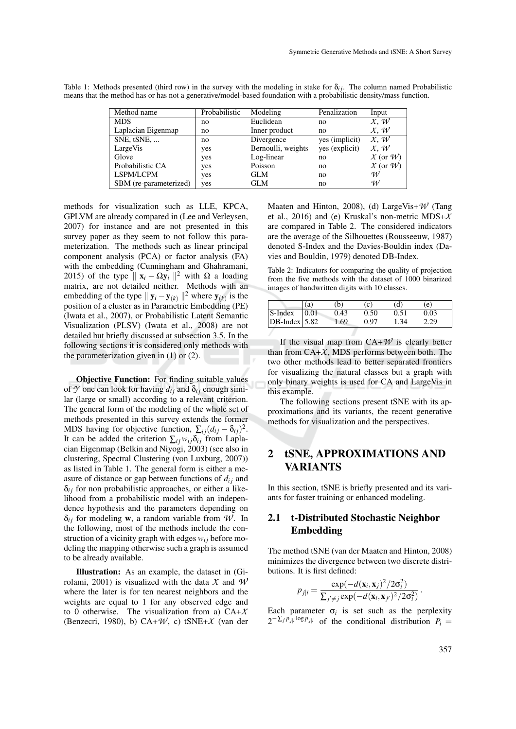| Method name            | Probabilistic | Modeling           | Penalization   | Input              |
|------------------------|---------------|--------------------|----------------|--------------------|
| <b>MDS</b>             | no            | Euclidean          | no             | X, W               |
| Laplacian Eigenmap     | no            | Inner product      | no             | X, W               |
| SNE, tSNE,             | no            | Divergence         | yes (implicit) | $\overline{X}$ . W |
| LargeVis               | yes           | Bernoulli, weights | yes (explicit) | X, W               |
| Glove                  | yes           | Log-linear         | no             | $X$ (or $W$ )      |
| Probabilistic CA       | yes           | Poisson            | no             | $X$ (or $W$ )      |
| LSPM/LCPM              | yes           | <b>GLM</b>         | no             | W                  |
| SBM (re-parameterized) | yes           | GLM                | no             | W                  |

Table 1: Methods presented (third row) in the survey with the modeling in stake for  $\delta_{ij}$ . The column named Probabilistic means that the method has or has not a generative/model-based foundation with a probabilistic density/mass function.

methods for visualization such as LLE, KPCA, GPLVM are already compared in (Lee and Verleysen, 2007) for instance and are not presented in this survey paper as they seem to not follow this parameterization. The methods such as linear principal component analysis (PCA) or factor analysis (FA) with the embedding (Cunningham and Ghahramani, 2015) of the type  $\|\mathbf{x}_i - \Omega \mathbf{y}_i\|^2$  with  $\Omega$  a loading matrix, are not detailed neither. Methods with an embedding of the type  $||\mathbf{y}_i - \mathbf{y}_{(k)}||^2$  where  $\mathbf{y}_{(k)}$  is the position of a cluster as in Parametric Embedding (PE) (Iwata et al., 2007), or Probabilistic Latent Semantic Visualization (PLSV) (Iwata et al., 2008) are not detailed but briefly discussed at subsection 3.5. In the following sections it is considered only methods with the parameterization given in  $(1)$  or  $(2)$ .

Objective Function: For finding suitable values of  $\mathcal Y$  one can look for having  $d_{ij}$  and  $\delta_{ij}$  enough similar (large or small) according to a relevant criterion. The general form of the modeling of the whole set of methods presented in this survey extends the former MDS having for objective function,  $\sum_{i,j} (d_{ij} - \delta_{ij})^2$ . It can be added the criterion  $\sum_{i} w_{i} \delta_{i}$  from Laplacian Eigenmap (Belkin and Niyogi, 2003) (see also in clustering, Spectral Clustering (von Luxburg, 2007)) as listed in Table 1. The general form is either a measure of distance or gap between functions of  $d_{ij}$  and  $\delta_{ij}$  for non probabilistic approaches, or either a likelihood from a probabilistic model with an independence hypothesis and the parameters depending on  $\delta_{ij}$  for modeling **w**, a random variable from *W*. In the following, most of the methods include the construction of a vicinity graph with edges  $w_{ij}$  before modeling the mapping otherwise such a graph is assumed to be already available.

Illustration: As an example, the dataset in (Girolami, 2001) is visualized with the data *X* and *W* where the later is for ten nearest neighbors and the weights are equal to 1 for any observed edge and to 0 otherwise. The visualization from a) CA+*X* (Benzecri, 1980), b)  $CA+W$ , c)  $tSNE+X$  (van der Maaten and Hinton, 2008), (d) LargeVis+*W* (Tang et al., 2016) and (e) Kruskal's non-metric MDS+*X* are compared in Table 2. The considered indicators are the average of the Silhouettes (Rousseeuw, 1987) denoted S-Index and the Davies-Bouldin index (Davies and Bouldin, 1979) denoted DB-Index.

Table 2: Indicators for comparing the quality of projection from the five methods with the dataset of 1000 binarized images of handwritten digits with 10 classes.

|                 | (a)  | (b   | (c)  | (d)  | (e)  |
|-----------------|------|------|------|------|------|
| S-Index         | 0.01 | 0.43 | 0.50 | 0.51 | 0.03 |
| $DB-Index$ 5.82 |      | 1.69 | 0.97 | 1.34 | 2.29 |

If the visual map from  $CA+W$  is clearly better than from  $CA+X$ , MDS performs between both. The two other methods lead to better separated frontiers for visualizing the natural classes but a graph with only binary weights is used for CA and LargeVis in this example.

The following sections present tSNE with its approximations and its variants, the recent generative methods for visualization and the perspectives.

# 2 tSNE, APPROXIMATIONS AND VARIANTS

In this section, tSNE is briefly presented and its variants for faster training or enhanced modeling.

# 2.1 t-Distributed Stochastic Neighbor Embedding

The method tSNE (van der Maaten and Hinton, 2008) minimizes the divergence between two discrete distributions. It is first defined:

$$
p_{j|i} = \frac{\exp(-d(\mathbf{x}_i, \mathbf{x}_j)^2/2\sigma_i^2)}{\sum_{j'\neq j} \exp(-d(\mathbf{x}_i, \mathbf{x}_{j'})^2/2\sigma_i^2)}.
$$

Each parameter  $\sigma_i$  is set such as the perplexity  $2^{-\sum_j p_{j|i} \log p_{j|i}}$  of the conditional distribution  $P_i =$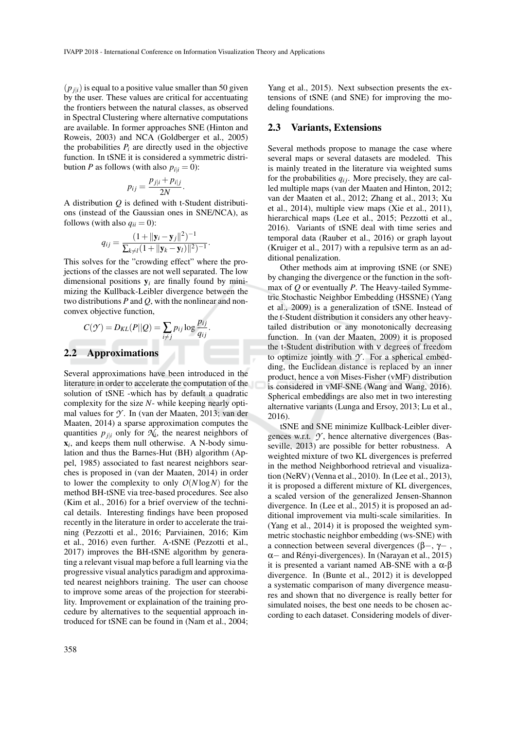.

 $(p_{j|i})$  is equal to a positive value smaller than 50 given by the user. These values are critical for accentuating the frontiers between the natural classes, as observed in Spectral Clustering where alternative computations are available. In former approaches SNE (Hinton and Roweis, 2003) and NCA (Goldberger et al., 2005) the probabilities  $P_i$  are directly used in the objective function. In tSNE it is considered a symmetric distribution *P* as follows (with also  $p_{i|i} = 0$ ):

$$
p_{ij} = \frac{p_{j|i} + p_{i|j}}{2N}.
$$

A distribution *Q* is defined with t-Student distributions (instead of the Gaussian ones in SNE/NCA), as follows (with also  $q_{ii} = 0$ ):

$$
q_{ij} = \frac{(1 + ||\mathbf{y}_i - \mathbf{y}_j||^2)^{-1}}{\sum_{k \neq i} (1 + ||\mathbf{y}_k - \mathbf{y}_i)||^2)^{-1}}
$$

This solves for the "crowding effect" where the projections of the classes are not well separated. The low dimensional positions  $y_i$  are finally found by minimizing the Kullback-Leibler divergence between the two distributions *P* and *Q*, with the nonlinear and nonconvex objective function,

$$
C(\mathcal{Y}) = D_{KL}(P||Q) = \sum_{i \neq j} p_{ij} \log \frac{p_{ij}}{q_{ij}}.
$$

#### 2.2 Approximations

Several approximations have been introduced in the literature in order to accelerate the computation of the solution of tSNE -which has by default a quadratic complexity for the size *N*- while keeping nearly optimal values for *Y* . In (van der Maaten, 2013; van der Maaten, 2014) a sparse approximation computes the quantities  $p_{j|i}$  only for  $\mathcal{N}_i$ , the nearest neighbors of x*i* , and keeps them null otherwise. A N-body simulation and thus the Barnes-Hut (BH) algorithm (Appel, 1985) associated to fast nearest neighbors searches is proposed in (van der Maaten, 2014) in order to lower the complexity to only  $O(N \log N)$  for the method BH-tSNE via tree-based procedures. See also (Kim et al., 2016) for a brief overview of the technical details. Interesting findings have been proposed recently in the literature in order to accelerate the training (Pezzotti et al., 2016; Parviainen, 2016; Kim et al., 2016) even further. A-tSNE (Pezzotti et al., 2017) improves the BH-tSNE algorithm by generating a relevant visual map before a full learning via the progressive visual analytics paradigm and approximated nearest neighbors training. The user can choose to improve some areas of the projection for steerability. Improvement or explaination of the training procedure by alternatives to the sequential approach introduced for tSNE can be found in (Nam et al., 2004;

#### 2.3 Variants, Extensions

Several methods propose to manage the case where several maps or several datasets are modeled. This is mainly treated in the literature via weighted sums for the probabilities  $q_{ij}$ . More precisely, they are called multiple maps (van der Maaten and Hinton, 2012; van der Maaten et al., 2012; Zhang et al., 2013; Xu et al., 2014), multiple view maps (Xie et al., 2011), hierarchical maps (Lee et al., 2015; Pezzotti et al., 2016). Variants of tSNE deal with time series and temporal data (Rauber et al., 2016) or graph layout (Kruiger et al., 2017) with a repulsive term as an additional penalization.

Other methods aim at improving tSNE (or SNE) by changing the divergence or the function in the softmax of *Q* or eventually *P*. The Heavy-tailed Symmetric Stochastic Neighbor Embedding (HSSNE) (Yang et al., 2009) is a generalization of tSNE. Instead of the t-Student distribution it considers any other heavytailed distribution or any monotonically decreasing function. In (van der Maaten, 2009) it is proposed the t-Student distribution with ν degrees of freedom to optimize jointly with  $\mathcal Y$ . For a spherical embedding, the Euclidean distance is replaced by an inner product, hence a von Mises-Fisher (vMF) distribution is considered in vMF-SNE (Wang and Wang, 2016). Spherical embeddings are also met in two interesting alternative variants (Lunga and Ersoy, 2013; Lu et al., 2016).

tSNE and SNE minimize Kullback-Leibler divergences w.r.t. *Y* , hence alternative divergences (Basseville, 2013) are possible for better robustness. A weighted mixture of two KL divergences is preferred in the method Neighborhood retrieval and visualization (NeRV) (Venna et al., 2010). In (Lee et al., 2013), it is proposed a different mixture of KL divergences, a scaled version of the generalized Jensen-Shannon divergence. In (Lee et al., 2015) it is proposed an additional improvement via multi-scale similarities. In (Yang et al., 2014) it is proposed the weighted symmetric stochastic neighbor embedding (ws-SNE) with a connection between several divergences (β–, γ–,  $\alpha$  – and Rényi-divergences). In (Narayan et al., 2015) it is presented a variant named AB-SNE with a  $\alpha$ -β divergence. In (Bunte et al., 2012) it is developped a systematic comparison of many divergence measures and shown that no divergence is really better for simulated noises, the best one needs to be chosen according to each dataset. Considering models of diver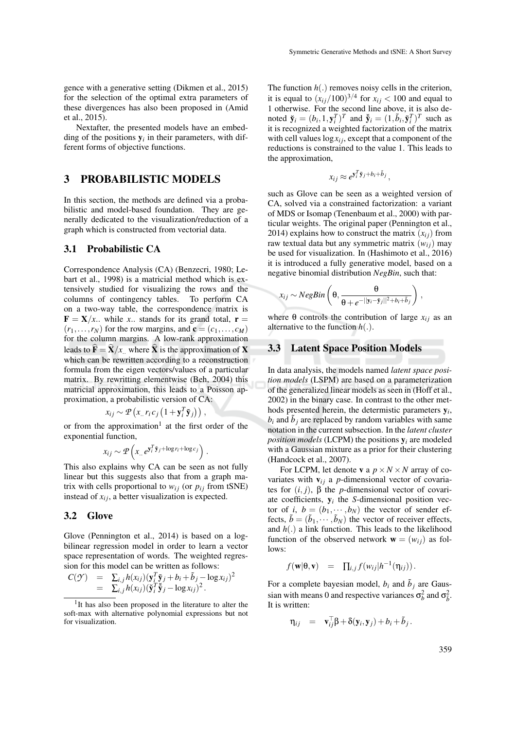gence with a generative setting (Dikmen et al., 2015) for the selection of the optimal extra parameters of these divergences has also been proposed in (Amid et al., 2015).

Nextafter, the presented models have an embedding of the positions  $y_i$  in their parameters, with different forms of objective functions.

## 3 PROBABILISTIC MODELS

In this section, the methods are defined via a probabilistic and model-based foundation. They are generally dedicated to the visualization/reduction of a graph which is constructed from vectorial data.

#### 3.1 Probabilistic CA

Correspondence Analysis (CA) (Benzecri, 1980; Lebart et al., 1998) is a matricial method which is extensively studied for visualizing the rows and the columns of contingency tables. To perform CA on a two-way table, the correspondence matrix is **.. while** *x***.. stands for its grand total, <b>r** =  $(r_1, \ldots, r_N)$  for the row margins, and  $\mathbf{c} = (c_1, \ldots, c_M)$ for the column margins. A low-rank approximation leads to  $\mathbf{\hat{F}} = \mathbf{\hat{X}}/x$ , where  $\mathbf{\hat{X}}$  is the approximation of **X** which can be rewritten according to a reconstruction formula from the eigen vectors/values of a particular matrix. By rewritting elementwise (Beh, 2004) this matricial approximation, this leads to a Poisson approximation, a probabilistic version of CA:

$$
x_{ij} \sim \mathcal{P}\left(x_{..} r_i c_j \left(1 + \mathbf{y}_i^T \tilde{\mathbf{y}}_j\right)\right),
$$

or from the approximation<sup>1</sup> at the first order of the exponential function,

$$
x_{ij} \sim \mathcal{P}\left(x_{..} e^{\mathbf{y}_i^T \tilde{\mathbf{y}}_j + \log r_i + \log c_j}\right).
$$

This also explains why CA can be seen as not fully linear but this suggests also that from a graph matrix with cells proportional to  $w_{ij}$  (or  $p_{ij}$  from tSNE) instead of  $x_{ij}$ , a better visualization is expected.

### 3.2 Glove

Glove (Pennington et al., 2014) is based on a logbilinear regression model in order to learn a vector space representation of words. The weighted regression for this model can be written as follows:

$$
C(\mathcal{Y}) = \sum_{i,j} h(x_{ij}) (\mathbf{y}_i^T \tilde{\mathbf{y}}_j + b_i + \tilde{b}_j - \log x_{ij})^2
$$
  
=  $\sum_{i,j} h(x_{ij}) (\tilde{\mathbf{y}}_i^T \tilde{\mathbf{y}}_j - \log x_{ij})^2$ .

The function *h*(.) removes noisy cells in the criterion, it is equal to  $(x_{ij}/100)^{3/4}$  for  $x_{ij}$  < 100 and equal to 1 otherwise. For the second line above, it is also denoted  $\tilde{\mathbf{y}}_i = (b_i, 1, \mathbf{y}_i^T)^T$  and  $\tilde{\mathbf{y}}_i = (1, \tilde{b}_i, \tilde{\mathbf{y}}_i^T)^T$  such as it is recognized a weighted factorization of the matrix with cell values  $\log x_i$ , except that a component of the reductions is constrained to the value 1. This leads to the approximation,

$$
x_{ij} \approx e^{\mathbf{y}_i^T \tilde{\mathbf{y}}_j + b_i + \tilde{b}_j},
$$

such as Glove can be seen as a weighted version of CA, solved via a constrained factorization: a variant of MDS or Isomap (Tenenbaum et al., 2000) with particular weights. The original paper (Pennington et al., 2014) explains how to construct the matrix  $(x_{ij})$  from raw textual data but any symmetric matrix  $(w_{ij})$  may be used for visualization. In (Hashimoto et al., 2016) it is introduced a fully generative model, based on a negative binomial distribution *NegBin*, such that:

$$
x_{ij} \sim NegBin\left(\theta, \frac{\theta}{\theta + e^{-\vert\vert \mathbf{y}_i - \tilde{\mathbf{y}}_j \vert\vert^2 + b_i + \tilde{b}_j}}\right),
$$

where  $\theta$  controls the contribution of large  $x_{ij}$  as an alternative to the function *h*(.).

### 3.3 Latent Space Position Models

In data analysis, the models named *latent space position models* (LSPM) are based on a parameterization of the generalized linear models as seen in (Hoff et al., 2002) in the binary case. In contrast to the other methods presented herein, the determistic parameters y*<sup>i</sup>* ,  $b_i$  and  $\tilde{b}_j$  are replaced by random variables with same notation in the current subsection. In the *latent cluster position models* (LCPM) the positions  $y_i$  are modeled with a Gaussian mixture as a prior for their clustering (Handcock et al., 2007).

For LCPM, let denote **v** a  $p \times N \times N$  array of covariates with  $v_{ij}$  a *p*-dimensional vector of covariates for  $(i, j)$ ,  $\beta$  the *p*-dimensional vector of covariate coefficients, y*<sup>i</sup>* the *S*-dimensional position vector of *i*,  $b = (b_1, \dots, b_N)$  the vector of sender effects,  $\tilde{b} = (\tilde{b}_1, \dots, \tilde{b}_N)$  the vector of receiver effects, and *h*(.) a link function. This leads to the likelihood function of the observed network  $\mathbf{w} = (w_{ij})$  as follows:

$$
f(\mathbf{w}|\mathbf{\theta},\mathbf{v}) = \prod_{i,j} f(w_{ij}|h^{-1}(\eta_{ij})).
$$

For a complete bayesian model,  $b_i$  and  $\tilde{b}_j$  are Gaussian with means 0 and respective variances  $\sigma_b^2$  and  $\sigma_{\bar{b}}^2$ . It is written:

$$
\eta_{ij} = \mathbf{v}_{ij}^\top \boldsymbol{\beta} + \delta(\mathbf{y}_i, \mathbf{y}_j) + b_i + \tilde{b}_j.
$$

<sup>&</sup>lt;sup>1</sup>It has also been proposed in the literature to alter the soft-max with alternative polynomial expressions but not for visualization.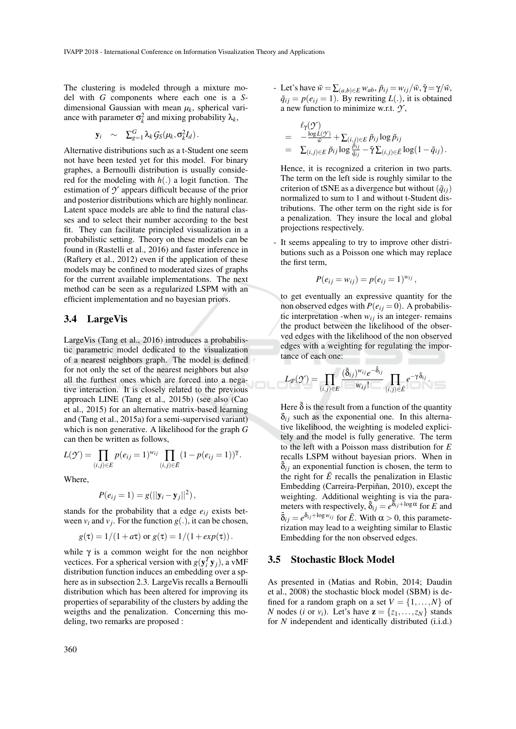The clustering is modeled through a mixture model with *G* components where each one is a *S*dimensional Gaussian with mean  $\mu_k$ , spherical variance with parameter  $\sigma_k^2$  and mixing probability  $\lambda_k$ ,

$$
\mathbf{y}_i \quad \sim \quad \Sigma_{g=1}^G \lambda_k \mathcal{G}_S(\mu_k, \sigma_k^2 I_d).
$$

Alternative distributions such as a t-Student one seem not have been tested yet for this model. For binary graphes, a Bernoulli distribution is usually considered for the modeling with *h*(.) a logit function. The estimation of *Y* appears difficult because of the prior and posterior distributions which are highly nonlinear. Latent space models are able to find the natural classes and to select their number according to the best fit. They can facilitate principled visualization in a probabilistic setting. Theory on these models can be found in (Rastelli et al., 2016) and faster inference in (Raftery et al., 2012) even if the application of these models may be confined to moderated sizes of graphs for the current available implementations. The next method can be seen as a regularized LSPM with an efficient implementation and no bayesian priors.

### 3.4 LargeVis

LargeVis (Tang et al., 2016) introduces a probabilistic parametric model dedicated to the visualization of a nearest neighbors graph. The model is defined for not only the set of the nearest neighbors but also all the furthest ones which are forced into a negative interaction. It is closely related to the previous approach LINE (Tang et al., 2015b) (see also (Cao et al., 2015) for an alternative matrix-based learning and (Tang et al., 2015a) for a semi-supervised variant) which is non generative. A likelihood for the graph *G* can then be written as follows,

$$
L(\mathcal{Y}) = \prod_{(i,j)\in E} p(e_{ij} = 1)^{w_{ij}} \prod_{(i,j)\in \bar{E}} (1 - p(e_{ij} = 1))^{\gamma}.
$$

Where,

$$
P(e_{ij}=1)=g(||\mathbf{y}_i-\mathbf{y}_j||^2),
$$

stands for the probability that a edge  $e_{ij}$  exists between  $v_i$  and  $v_j$ . For the function  $g(.)$ , it can be chosen,

$$
g(\tau) = 1/(1 + a\tau) \text{ or } g(\tau) = 1/(1 + exp(\tau)).
$$

while  $\gamma$  is a common weight for the non neighbor vectices. For a spherical version with  $g(y_i^T y_j)$ , a vMF distribution function induces an embedding over a sphere as in subsection 2.3. LargeVis recalls a Bernoulli distribution which has been altered for improving its properties of separability of the clusters by adding the weigths and the penalization. Concerning this modeling, two remarks are proposed :

 $\bar{\rho}$  Let's have  $\bar{w} = \sum_{(a,b) \in E} w_{ab}, \, \tilde{p}_{ij} = w_{ij}/\bar{w}, \, \tilde{\gamma} = \gamma/\bar{w},$  $\tilde{q}_{ij} = p(e_{ij} = 1)$ . By rewriting  $L(.)$ , it is obtained a new function to minimize w.r.t. *Y* ,

$$
\begin{array}{lll}&&\ell_{\gamma}(\mathcal{Y})\\&=&-\frac{\log L(\mathcal{Y})}{\bar{w}}+\sum_{(i,j)\in E}\tilde{p}_{ij}\log\tilde{p}_{ij}\\&=&\sum_{(i,j)\in E}\tilde{p}_{ij}\log\frac{\tilde{p}_{ij}}{\tilde{q}_{ij}}-\tilde{\gamma}\sum_{(i,j)\in \bar{E}}\log(1-\tilde{q}_{ij})\,.\end{array}
$$

Hence, it is recognized a criterion in two parts. The term on the left side is roughly similar to the criterion of tSNE as a divergence but without  $(\tilde{q}_{ij})$ normalized to sum to 1 and without t-Student distributions. The other term on the right side is for a penalization. They insure the local and global projections respectively.

It seems appealing to try to improve other distributions such as a Poisson one which may replace the first term,

$$
P(e_{ij} = w_{ij}) = p(e_{ij} = 1)^{w_{ij}},
$$

to get eventually an expressive quantity for the non observed edges with  $P(e_{ij} = 0)$ . A probabilistic interpretation -when  $w_{ij}$  is an integer- remains the product between the likelihood of the observed edges with the likelihood of the non observed edges with a weighting for regulating the importance of each one:

$$
L_{\mathcal{P}}(\mathcal{Y}) = \prod_{(i,j) \in E} \frac{(\tilde{\delta}_{ij})^{w_{ij}} e^{-\tilde{\delta}_{ij}}}{w_{ij}!} \prod_{(i,j) \in \bar{E}} e^{-\gamma \tilde{\delta}_{ij}}.
$$

Here  $\delta$  is the result from a function of the quantity  $\delta_{ij}$  such as the exponential one. In this alternative likelihood, the weighting is modeled explicitely and the model is fully generative. The term to the left with a Poisson mass distribution for *E* recalls LSPM without bayesian priors. When in  $\delta_{ij}$  an exponential function is chosen, the term to the right for  $\bar{E}$  recalls the penalization in Elastic Embedding (Carreira-Perpiñan, 2010), except the weighting. Additional weighting is via the parameters with respectively,  $\tilde{\delta}_{ij} = e^{\tilde{\delta}_{ij} + \log \alpha}$  for  $\tilde{E}$  and  $\tilde{\delta}_{ij} = e^{\delta_{ij} + \log w_{ij}}$  for  $\bar{E}$ . With  $\alpha > 0$ , this parameterization may lead to a weighting similar to Elastic Embedding for the non observed edges.

### 3.5 Stochastic Block Model

As presented in (Matias and Robin, 2014; Daudin et al., 2008) the stochastic block model (SBM) is defined for a random graph on a set  $V = \{1, \ldots, N\}$  of *N* nodes (*i* or *v<sub>i</sub>*). Let's have  $z = \{z_1, \ldots, z_N\}$  stands for *N* independent and identically distributed (i.i.d.)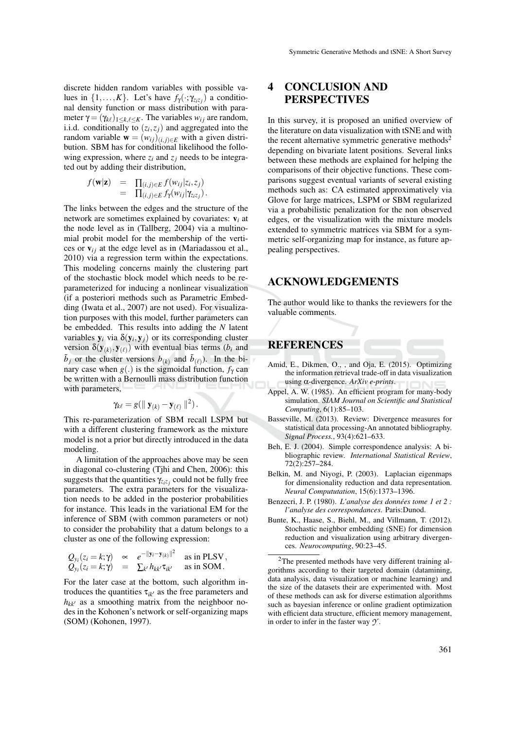discrete hidden random variables with possible values in  $\{1, \ldots, K\}$ . Let's have  $f_{\gamma}(\cdot; \gamma_{z_i z_j})$  a conditional density function or mass distribution with parameter  $\gamma = (\gamma_{k\ell})_{1 \leq k,\ell \leq K}$ . The variables  $w_{ij}$  are random, i.i.d. conditionally to  $(z_i, z_j)$  and aggregated into the random variable  $\mathbf{w} = (w_{ij})_{(i,j)\in E}$  with a given distribution. SBM has for conditional likelihood the following expression, where  $z_i$  and  $z_j$  needs to be integrated out by adding their distribution,

$$
f(\mathbf{w}|\mathbf{z}) = \prod_{(i,j)\in E} f(w_{ij}|z_i, z_j) = \prod_{(i,j)\in E} f_{\gamma}(w_{ij}|\gamma_{z_iz_j}).
$$

The links between the edges and the structure of the network are sometimes explained by covariates: v*<sup>i</sup>* at the node level as in (Tallberg, 2004) via a multinomial probit model for the membership of the vertices or  $v_{ij}$  at the edge level as in (Mariadassou et al., 2010) via a regression term within the expectations. This modeling concerns mainly the clustering part of the stochastic block model which needs to be reparameterized for inducing a nonlinear visualization (if a posteriori methods such as Parametric Embedding (Iwata et al., 2007) are not used). For visualization purposes with this model, further parameters can be embedded. This results into adding the *N* latent variables  $y_i$  via  $\delta(y_i, y_j)$  or its corresponding cluster version  $\delta(\mathbf{y}_{(k)}, \mathbf{y}_{(\ell)})$  with eventual bias terms (*b<sub>i</sub>* and  $\tilde{b}_j$  or the cluster versions  $b_{(k)}$  and  $\tilde{b}_{(\ell)}$ ). In the binary case when  $g(.)$  is the sigmoidal function,  $f_\gamma$  can be written with a Bernoulli mass distribution function with parameters,

$$
\gamma_{k\ell}=g(\parallel \mathbf{y}_{(k)}-\mathbf{y}_{(\ell)}\parallel^2).
$$

This re-parameterization of SBM recall LSPM but with a different clustering framework as the mixture model is not a prior but directly introduced in the data modeling.

A limitation of the approaches above may be seen in diagonal co-clustering (Tjhi and Chen, 2006): this suggests that the quantities γ*ziz<sup>j</sup>* could not be fully free parameters. The extra parameters for the visualization needs to be added in the posterior probabilities for instance. This leads in the variational EM for the inference of SBM (with common parameters or not) to consider the probability that a datum belongs to a cluster as one of the following expression:

$$
Q_{y_i}(z_i = k; \gamma) \propto e^{-\|y_i - y_{(k)}\|^2}
$$
 as in PLSV,  
\n $Q_{y_i}(z_i = k; \gamma) = \sum_{k'} h_{kk'} \tau_{ik'}$  as in SOM.

For the later case at the bottom, such algorithm introduces the quantities  $\tau_{ik}$  as the free parameters and  $h_{kk'}$  as a smoothing matrix from the neighboor nodes in the Kohonen's network or self-organizing maps (SOM) (Kohonen, 1997).

# 4 CONCLUSION AND PERSPECTIVES

In this survey, it is proposed an unified overview of the literature on data visualization with tSNE and with the recent alternative symmetric generative methods<sup>2</sup> depending on bivariate latent positions. Several links between these methods are explained for helping the comparisons of their objective functions. These comparisons suggest eventual variants of several existing methods such as: CA estimated approximatively via Glove for large matrices, LSPM or SBM regularized via a probabilistic penalization for the non observed edges, or the visualization with the mixture models extended to symmetric matrices via SBM for a symmetric self-organizing map for instance, as future appealing perspectives.

## ACKNOWLEDGEMENTS

The author would like to thanks the reviewers for the valuable comments.

## REFERENCES

- Amid, E., Dikmen, O., , and Oja, E. (2015). Optimizing the information retrieval trade-off in data visualization using α-divergence. *ArXiv e-prints*.
- Appel, A. W. (1985). An efficient program for many-body simulation. *SIAM Journal on Scientific and Statistical Computing*, 6(1):85–103.
- Basseville, M. (2013). Review: Divergence measures for statistical data processing-An annotated bibliography. *Signal Process.*, 93(4):621–633.
- Beh, E. J. (2004). Simple correspondence analysis: A bibliographic review. *International Statistical Review*, 72(2):257–284.
- Belkin, M. and Niyogi, P. (2003). Laplacian eigenmaps for dimensionality reduction and data representation. *Neural Compututation*, 15(6):1373–1396.
- Benzecri, J. P. (1980). *L'analyse des donnees tome 1 et 2 : ´ l'analyse des correspondances*. Paris:Dunod.
- Bunte, K., Haase, S., Biehl, M., and Villmann, T. (2012). Stochastic neighbor embedding (SNE) for dimension reduction and visualization using arbitrary divergences. *Neurocomputing*, 90:23–45.

 $2$ The presented methods have very different training algorithms according to their targeted domain (datamining, data analysis, data visualization or machine learning) and the size of the datasets their are experimented with. Most of these methods can ask for diverse estimation algorithms such as bayesian inference or online gradient optimization with efficient data structure, efficient memory management, in order to infer in the faster way *Y* .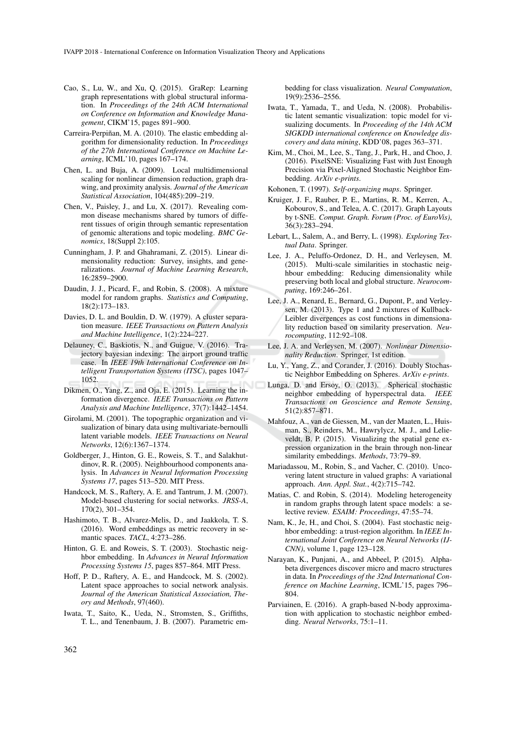- Cao, S., Lu, W., and Xu, Q. (2015). GraRep: Learning graph representations with global structural information. In *Proceedings of the 24th ACM International on Conference on Information and Knowledge Management*, CIKM'15, pages 891–900.
- Carreira-Perpiñan, M. A. (2010). The elastic embedding algorithm for dimensionality reduction. In *Proceedings of the 27th International Conference on Machine Learning*, ICML'10, pages 167–174.
- Chen, L. and Buja, A. (2009). Local multidimensional scaling for nonlinear dimension reduction, graph drawing, and proximity analysis. *Journal of the American Statistical Association*, 104(485):209–219.
- Chen, V., Paisley, J., and Lu, X. (2017). Revealing common disease mechanisms shared by tumors of different tissues of origin through semantic representation of genomic alterations and topic modeling. *BMC Genomics*, 18(Suppl 2):105.
- Cunningham, J. P. and Ghahramani, Z. (2015). Linear dimensionality reduction: Survey, insights, and generalizations. *Journal of Machine Learning Research*, 16:2859–2900.
- Daudin, J. J., Picard, F., and Robin, S. (2008). A mixture model for random graphs. *Statistics and Computing*, 18(2):173–183.
- Davies, D. L. and Bouldin, D. W. (1979). A cluster separation measure. *IEEE Transactions on Pattern Analysis and Machine Intelligence*, 1(2):224–227.
- Delauney, C., Baskiotis, N., and Guigue, V. (2016). Trajectory bayesian indexing: The airport ground traffic case. In *IEEE 19th International Conference on Intelligent Transportation Systems (ITSC)*, pages 1047– 1052.
- Dikmen, O., Yang, Z., and Oja, E. (2015). Learning the information divergence. *IEEE Transactions on Pattern Analysis and Machine Intelligence*, 37(7):1442–1454.
- Girolami, M. (2001). The topographic organization and visualization of binary data using multivariate-bernoulli latent variable models. *IEEE Transactions on Neural Networks*, 12(6):1367–1374.
- Goldberger, J., Hinton, G. E., Roweis, S. T., and Salakhutdinov, R. R. (2005). Neighbourhood components analysis. In *Advances in Neural Information Processing Systems 17*, pages 513–520. MIT Press.
- Handcock, M. S., Raftery, A. E. and Tantrum, J. M. (2007). Model-based clustering for social networks. *JRSS-A*, 170(2), 301–354.
- Hashimoto, T. B., Alvarez-Melis, D., and Jaakkola, T. S. (2016). Word embeddings as metric recovery in semantic spaces. *TACL*, 4:273–286.
- Hinton, G. E. and Roweis, S. T. (2003). Stochastic neighbor embedding. In *Advances in Neural Information Processing Systems 15*, pages 857–864. MIT Press.
- Hoff, P. D., Raftery, A. E., and Handcock, M. S. (2002). Latent space approaches to social network analysis. *Journal of the American Statistical Association, Theory and Methods*, 97(460).
- Iwata, T., Saito, K., Ueda, N., Stromsten, S., Griffiths, T. L., and Tenenbaum, J. B. (2007). Parametric em-

bedding for class visualization. *Neural Computation*, 19(9):2536–2556.

- Iwata, T., Yamada, T., and Ueda, N. (2008). Probabilistic latent semantic visualization: topic model for visualizing documents. In *Proceeding of the 14th ACM SIGKDD international conference on Knowledge discovery and data mining*, KDD'08, pages 363–371.
- Kim, M., Choi, M., Lee, S., Tang, J., Park, H., and Choo, J. (2016). PixelSNE: Visualizing Fast with Just Enough Precision via Pixel-Aligned Stochastic Neighbor Embedding. *ArXiv e-prints*.
- Kohonen, T. (1997). *Self-organizing maps*. Springer.
- Kruiger, J. F., Rauber, P. E., Martins, R. M., Kerren, A., Kobourov, S., and Telea, A. C. (2017). Graph Layouts by t-SNE. *Comput. Graph. Forum (Proc. of EuroVis)*, 36(3):283–294.
- Lebart, L., Salem, A., and Berry, L. (1998). *Exploring Textual Data*. Springer.
- Lee, J. A., Peluffo-Ordonez, D. H., and Verleysen, M. (2015). Multi-scale similarities in stochastic neighbour embedding: Reducing dimensionality while preserving both local and global structure. *Neurocomputing*, 169:246–261.
- Lee, J. A., Renard, E., Bernard, G., Dupont, P., and Verleysen, M. (2013). Type 1 and 2 mixtures of Kullback-Leibler divergences as cost functions in dimensionality reduction based on similarity preservation. *Neurocomputing*, 112:92–108.
- Lee, J. A. and Verleysen, M. (2007). *Nonlinear Dimensionality Reduction*. Springer, 1st edition.
- Lu, Y., Yang, Z., and Corander, J. (2016). Doubly Stochastic Neighbor Embedding on Spheres. *ArXiv e-prints*.
- Lunga, D. and Ersoy, O. (2013). Spherical stochastic neighbor embedding of hyperspectral data. *IEEE Transactions on Geoscience and Remote Sensing*, 51(2):857–871.
- Mahfouz, A., van de Giessen, M., van der Maaten, L., Huisman, S., Reinders, M., Hawrylycz, M. J., and Lelieveldt, B. P. (2015). Visualizing the spatial gene expression organization in the brain through non-linear similarity embeddings. *Methods*, 73:79–89.
- Mariadassou, M., Robin, S., and Vacher, C. (2010). Uncovering latent structure in valued graphs: A variational approach. *Ann. Appl. Stat.*, 4(2):715–742.
- Matias, C. and Robin, S. (2014). Modeling heterogeneity in random graphs through latent space models: a selective review. *ESAIM: Proceedings*, 47:55–74.
- Nam, K., Je, H., and Choi, S. (2004). Fast stochastic neighbor embedding: a trust-region algorithm. In *IEEE International Joint Conference on Neural Networks (IJ-CNN)*, volume 1, page 123–128.
- Narayan, K., Punjani, A., and Abbeel, P. (2015). Alphabeta divergences discover micro and macro structures in data. In *Proceedings of the 32nd International Conference on Machine Learning*, ICML'15, pages 796– 804.
- Parviainen, E. (2016). A graph-based N-body approximation with application to stochastic neighbor embedding. *Neural Networks*, 75:1–11.